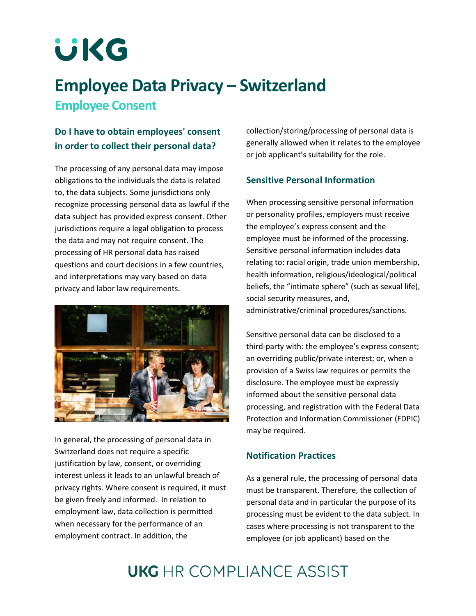# **UKG**

## **Employee Data Privacy – Switzerland Employee Consent**

## **Do I have to obtain employees' consent in order to collect their personal data?**

The processing of any personal data may impose obligations to the individuals the data is related to, the data subjects. Some jurisdictions only recognize processing personal data as lawful if the data subject has provided express consent. Other jurisdictions require a legal obligation to process the data and may not require consent. The processing of HR personal data has raised questions and court decisions in a few countries, and interpretations may vary based on data privacy and labor law requirements.



In general, the processing of personal data in Switzerland does not require a specific justification by law, consent, or overriding interest unless it leads to an unlawful breach of privacy rights. Where consent is required, it must be given freely and informed. In relation to employment law, data collection is permitted when necessary for the performance of an employment contract. In addition, the

collection/storing/processing of personal data is generally allowed when it relates to the employee or job applicant's suitability for the role.

#### **Sensitive Personal Information**

When processing sensitive personal information or personality profiles, employers must receive the employee's express consent and the employee must be informed of the processing. Sensitive personal information includes data relating to: racial origin, trade union membership, health information, religious/ideological/political beliefs, the "intimate sphere" (such as sexual life), social security measures, and, administrative/criminal procedures/sanctions.

Sensitive personal data can be disclosed to a third-party with: the employee's express consent; an overriding public/private interest; or, when a provision of a Swiss law requires or permits the disclosure. The employee must be expressly informed about the sensitive personal data processing, and registration with the Federal Data Protection and Information Commissioner (FDPIC) may be required.

### **Notification Practices**

As a general rule, the processing of personal data must be transparent. Therefore, the collection of personal data and in particular the purpose of its processing must be evident to the data subject. In cases where processing is not transparent to the employee (or job applicant) based on the

# **UKG** HR COMPI JANCE ASSIST